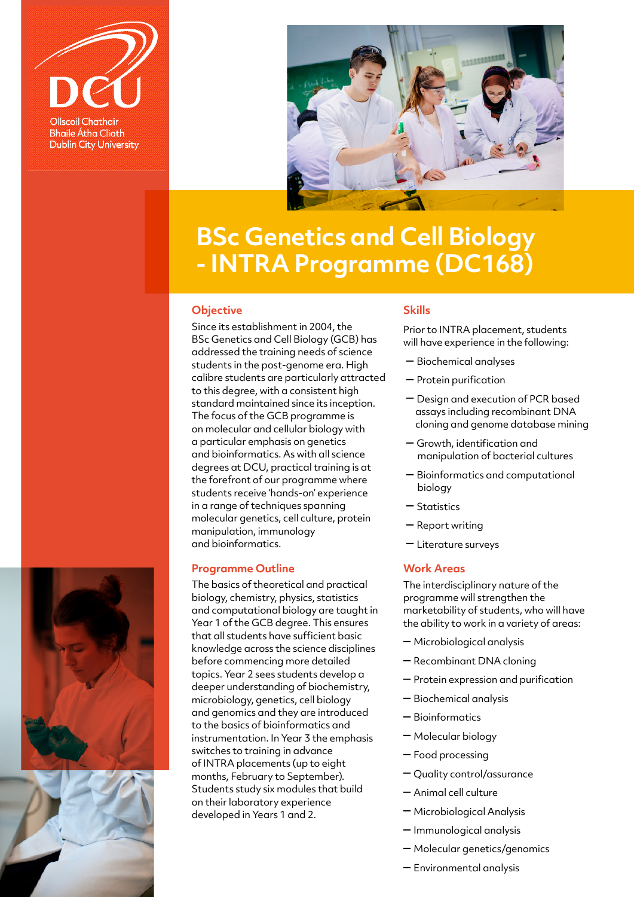



# **BSc Genetics and Cell Biology - INTRA Programme (DC168)**

# **Objective**

Since its establishment in 2004, the BSc Genetics and Cell Biology (GCB) has addressed the training needs of science students in the post-genome era. High calibre students are particularly attracted to this degree, with a consistent high standard maintained since its inception. The focus of the GCB programme is on molecular and cellular biology with a particular emphasis on genetics and bioinformatics. As with all science degrees at DCU, practical training is at the forefront of our programme where students receive 'hands-on' experience in a range of techniques spanning molecular genetics, cell culture, protein manipulation, immunology and bioinformatics.

# **Programme Outline**

The basics of theoretical and practical biology, chemistry, physics, statistics and computational biology are taught in Year 1 of the GCB degree. This ensures that all students have sufficient basic knowledge across the science disciplines before commencing more detailed topics. Year 2 sees students develop a deeper understanding of biochemistry, microbiology, genetics, cell biology and genomics and they are introduced to the basics of bioinformatics and instrumentation. In Year 3 the emphasis switches to training in advance of INTRA placements (up to eight months, February to September). Students study six modules that build on their laboratory experience developed in Years 1 and 2.

# **Skills**

Prior to INTRA placement, students will have experience in the following:

- Biochemical analyses
- Protein purification
- Design and execution of PCR based assays including recombinant DNA cloning and genome database mining
- Growth, identification and manipulation of bacterial cultures
- Bioinformatics and computational biology
- Statistics
- Report writing
- Literature surveys

# **Work Areas**

The interdisciplinary nature of the programme will strengthen the marketability of students, who will have the ability to work in a variety of areas:

- Microbiological analysis
- Recombinant DNA cloning
- Protein expression and purification
- Biochemical analysis
- Bioinformatics
- Molecular biology
- Food processing
- Quality control/assurance
- Animal cell culture
- Microbiological Analysis
- Immunological analysis
- Molecular genetics/genomics
- Environmental analysis